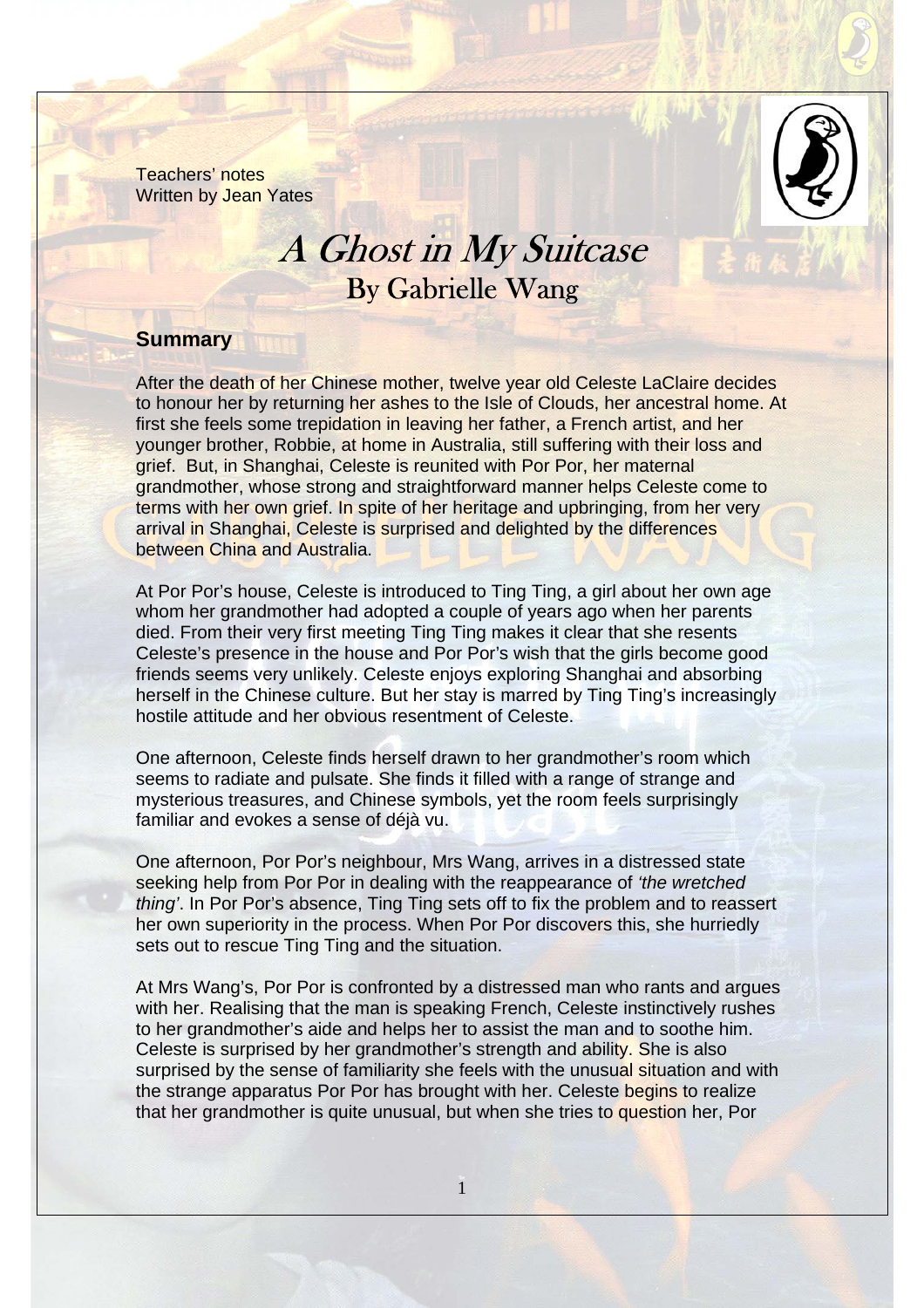Teachers' notes Written by Jean Yates



# A Ghost in My Suitcase By Gabrielle Wang

#### **Summary**

After the death of her Chinese mother, twelve year old Celeste LaClaire decides to honour her by returning her ashes to the Isle of Clouds, her ancestral home. At first she feels some trepidation in leaving her father, a French artist, and her younger brother, Robbie, at home in Australia, still suffering with their loss and grief. But, in Shanghai, Celeste is reunited with Por Por, her maternal grandmother, whose strong and straightforward manner helps Celeste come to terms with her own grief. In spite of her heritage and upbringing, from her very arrival in Shanghai, Celeste is surprised and delighted by the differences between China and Australia.

At Por Por's house, Celeste is introduced to Ting Ting, a girl about her own age whom her grandmother had adopted a couple of years ago when her parents died. From their very first meeting Ting Ting makes it clear that she resents Celeste's presence in the house and Por Por's wish that the girls become good friends seems very unlikely. Celeste enjoys exploring Shanghai and absorbing herself in the Chinese culture. But her stay is marred by Ting Ting's increasingly hostile attitude and her obvious resentment of Celeste.

One afternoon, Celeste finds herself drawn to her grandmother's room which seems to radiate and pulsate. She finds it filled with a range of strange and mysterious treasures, and Chinese symbols, yet the room feels surprisingly familiar and evokes a sense of déjà vu.

One afternoon, Por Por's neighbour, Mrs Wang, arrives in a distressed state seeking help from Por Por in dealing with the reappearance of *'the wretched thing'*. In Por Por's absence, Ting Ting sets off to fix the problem and to reassert her own superiority in the process. When Por Por discovers this, she hurriedly sets out to rescue Ting Ting and the situation.

At Mrs Wang's, Por Por is confronted by a distressed man who rants and argues with her. Realising that the man is speaking French, Celeste instinctively rushes to her grandmother's aide and helps her to assist the man and to soothe him. Celeste is surprised by her grandmother's strength and ability. She is also surprised by the sense of familiarity she feels with the unusual situation and with the strange apparatus Por Por has brought with her. Celeste begins to realize that her grandmother is quite unusual, but when she tries to question her, Por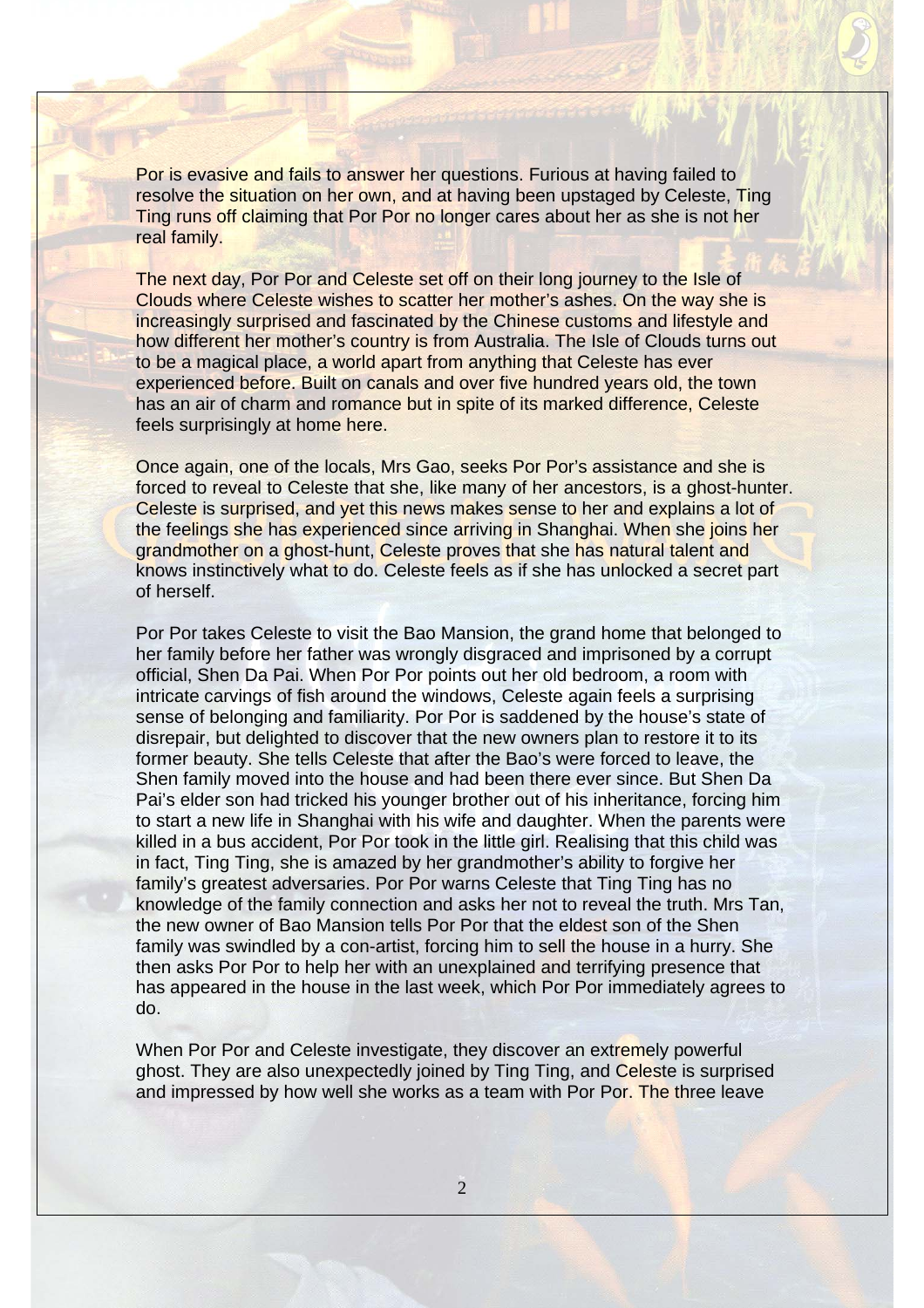Por is evasive and fails to answer her questions. Furious at having failed to resolve the situation on her own, and at having been upstaged by Celeste, Ting Ting runs off claiming that Por Por no longer cares about her as she is not her real family.

The next day, Por Por and Celeste set off on their long journey to the Isle of Clouds where Celeste wishes to scatter her mother's ashes. On the way she is increasingly surprised and fascinated by the Chinese customs and lifestyle and how different her mother's country is from Australia. The Isle of Clouds turns out to be a magical place, a world apart from anything that Celeste has ever experienced before. Built on canals and over five hundred years old, the town has an air of charm and romance but in spite of its marked difference, Celeste feels surprisingly at home here.

Once again, one of the locals, Mrs Gao, seeks Por Por's assistance and she is forced to reveal to Celeste that she, like many of her ancestors, is a ghost-hunter. Celeste is surprised, and yet this news makes sense to her and explains a lot of the feelings she has experienced since arriving in Shanghai. When she joins her grandmother on a ghost-hunt, Celeste proves that she has natural talent and knows instinctively what to do. Celeste feels as if she has unlocked a secret part of herself.

Por Por takes Celeste to visit the Bao Mansion, the grand home that belonged to her family before her father was wrongly disgraced and imprisoned by a corrupt official, Shen Da Pai. When Por Por points out her old bedroom, a room with intricate carvings of fish around the windows, Celeste again feels a surprising sense of belonging and familiarity. Por Por is saddened by the house's state of disrepair, but delighted to discover that the new owners plan to restore it to its former beauty. She tells Celeste that after the Bao's were forced to leave, the Shen family moved into the house and had been there ever since. But Shen Da Pai's elder son had tricked his younger brother out of his inheritance, forcing him to start a new life in Shanghai with his wife and daughter. When the parents were killed in a bus accident, Por Por took in the little girl. Realising that this child was in fact, Ting Ting, she is amazed by her grandmother's ability to forgive her family's greatest adversaries. Por Por warns Celeste that Ting Ting has no knowledge of the family connection and asks her not to reveal the truth. Mrs Tan, the new owner of Bao Mansion tells Por Por that the eldest son of the Shen family was swindled by a con-artist, forcing him to sell the house in a hurry. She then asks Por Por to help her with an unexplained and terrifying presence that has appeared in the house in the last week, which Por Por immediately agrees to do.

When Por Por and Celeste investigate, they discover an extremely powerful ghost. They are also unexpectedly joined by Ting Ting, and Celeste is surprised and impressed by how well she works as a team with Por Por. The three leave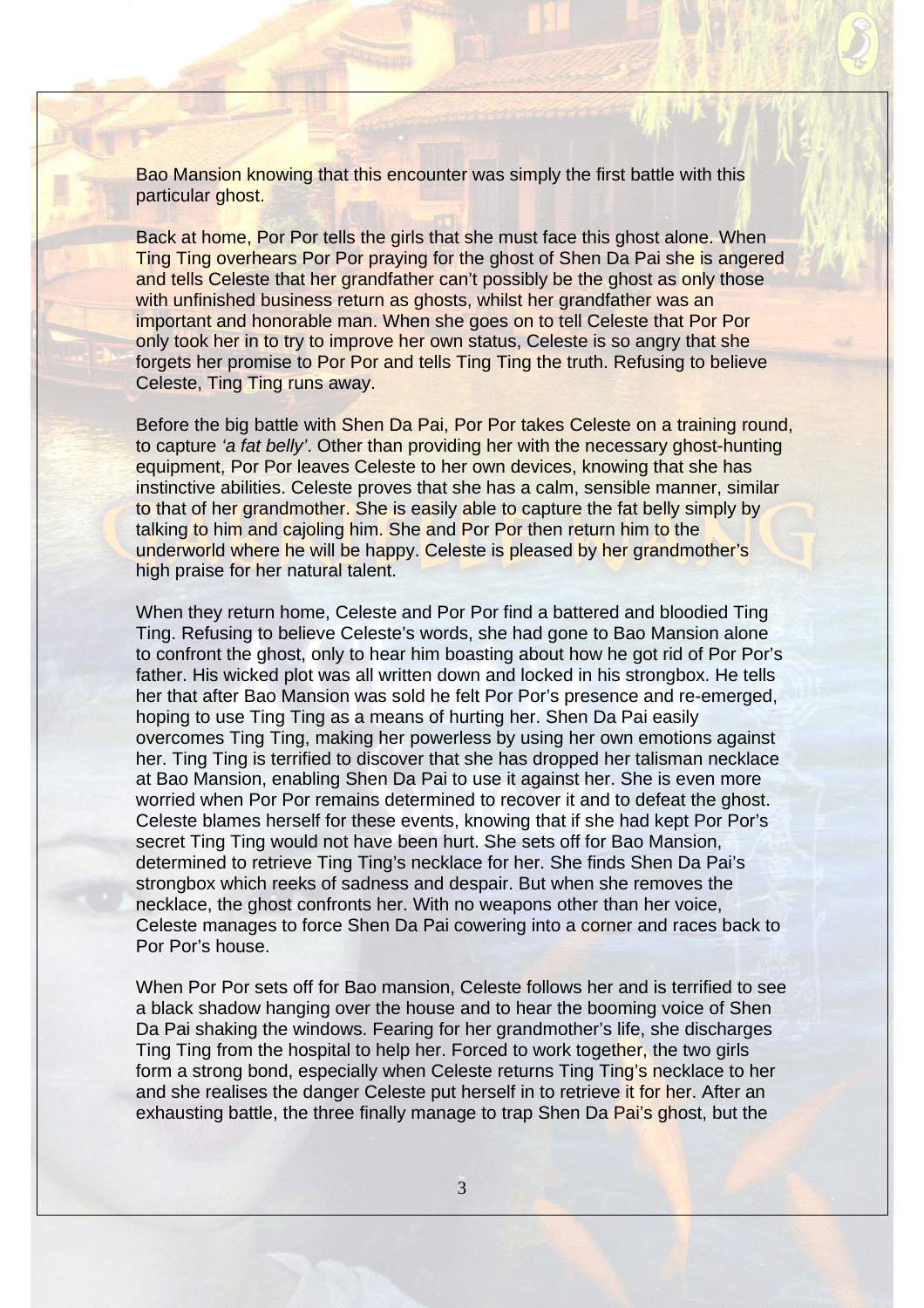Bao Mansion knowing that this encounter was simply the first battle with this particular ghost.

Back at home, Por Por tells the girls that she must face this ghost alone. When Ting Ting overhears Por Por praying for the ghost of Shen Da Pai she is angered and tells Celeste that her grandfather can't possibly be the ghost as only those with unfinished business return as ghosts, whilst her grandfather was an important and honorable man. When she goes on to tell Celeste that Por Por only took her in to try to improve her own status, Celeste is so angry that she forgets her promise to Por Por and tells Ting Ting the truth. Refusing to believe Celeste, Ting Ting runs away.

Before the big battle with Shen Da Pai, Por Por takes Celeste on a training round, to capture *'a fat belly'*. Other than providing her with the necessary ghost-hunting equipment, Por Por leaves Celeste to her own devices, knowing that she has instinctive abilities. Celeste proves that she has a calm, sensible manner, similar to that of her grandmother. She is easily able to capture the fat belly simply by talking to him and cajoling him. She and Por Por then return him to the underworld where he will be happy. Celeste is pleased by her grandmother's high praise for her natural talent.

When they return home, Celeste and Por Por find a battered and bloodied Ting Ting. Refusing to believe Celeste's words, she had gone to Bao Mansion alone to confront the ghost, only to hear him boasting about how he got rid of Por Por's father. His wicked plot was all written down and locked in his strongbox. He tells her that after Bao Mansion was sold he felt Por Por's presence and re-emerged, hoping to use Ting Ting as a means of hurting her. Shen Da Pai easily overcomes Ting Ting, making her powerless by using her own emotions against her. Ting Ting is terrified to discover that she has dropped her talisman necklace at Bao Mansion, enabling Shen Da Pai to use it against her. She is even more worried when Por Por remains determined to recover it and to defeat the ghost. Celeste blames herself for these events, knowing that if she had kept Por Por's secret Ting Ting would not have been hurt. She sets off for Bao Mansion, determined to retrieve Ting Ting's necklace for her. She finds Shen Da Pai's strongbox which reeks of sadness and despair. But when she removes the necklace, the ghost confronts her. With no weapons other than her voice, Celeste manages to force Shen Da Pai cowering into a corner and races back to Por Por's house.

When Por Por sets off for Bao mansion, Celeste follows her and is terrified to see a black shadow hanging over the house and to hear the booming voice of Shen Da Pai shaking the windows. Fearing for her grandmother's life, she discharges Ting Ting from the hospital to help her. Forced to work together, the two girls form a strong bond, especially when Celeste returns Ting Ting's necklace to her and she realises the danger Celeste put herself in to retrieve it for her. After an exhausting battle, the three finally manage to trap Shen Da Pai's ghost, but the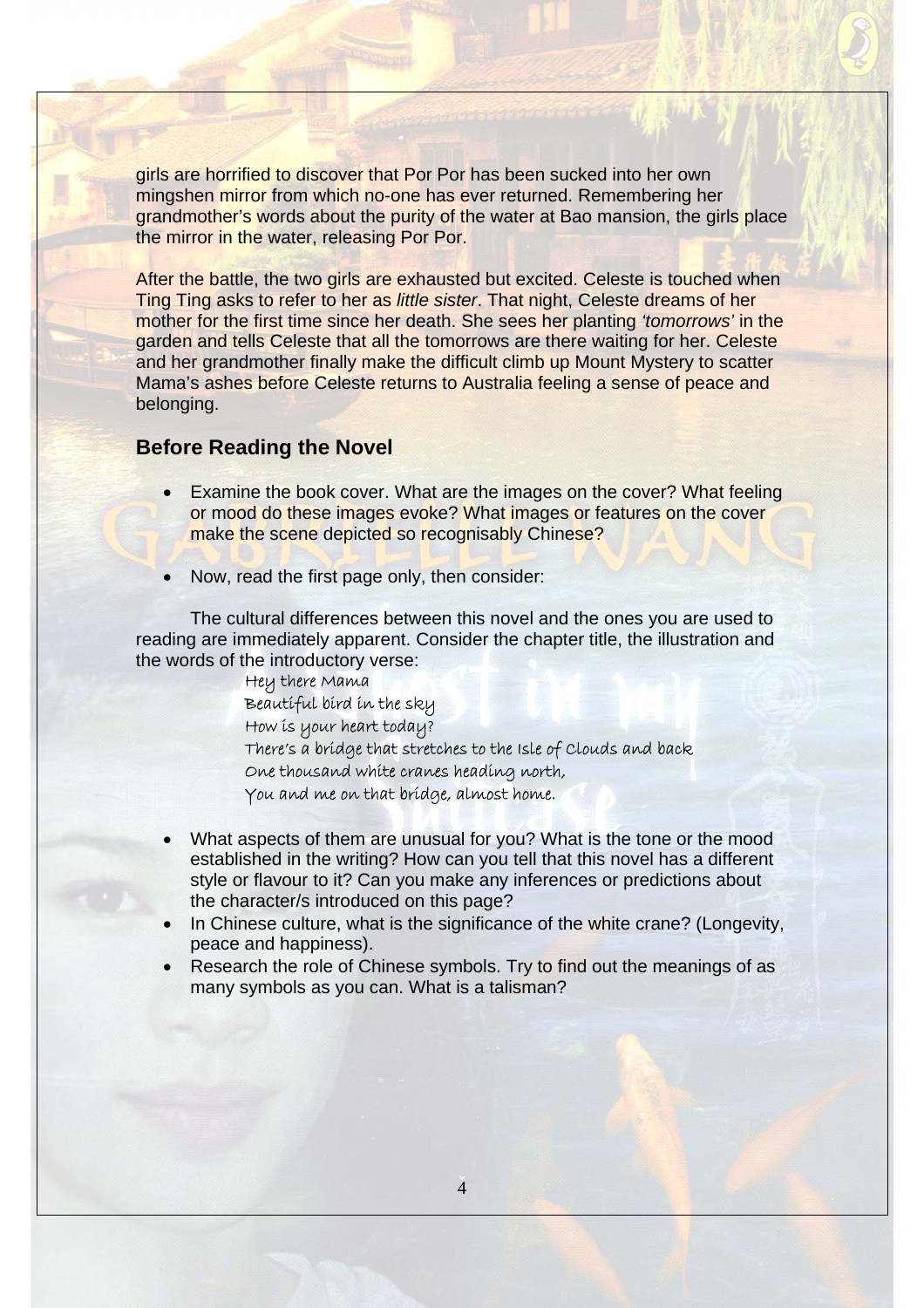girls are horrified to discover that Por Por has been sucked into her own mingshen mirror from which no-one has ever returned. Remembering her grandmother's words about the purity of the water at Bao mansion, the girls place the mirror in the water, releasing Por Por.

After the battle, the two girls are exhausted but excited. Celeste is touched when Ting Ting asks to refer to her as *little sister*. That night, Celeste dreams of her mother for the first time since her death. She sees her planting *'tomorrows'* in the garden and tells Celeste that all the tomorrows are there waiting for her. Celeste and her grandmother finally make the difficult climb up Mount Mystery to scatter Mama's ashes before Celeste returns to Australia feeling a sense of peace and belonging.

#### **Before Reading the Novel**

- **Examine the book cover. What are the images on the cover? What feeling** or mood do these images evoke? What images or features on the cover make the scene depicted so recognisably Chinese?
- Now, read the first page only, then consider:

 The cultural differences between this novel and the ones you are used to reading are immediately apparent. Consider the chapter title, the illustration and the words of the introductory verse:

> Hey there Mama Beautiful bird in the sky How is your heart today? There's a bridge that stretches to the Isle of Clouds and back One thousand white cranes heading north, You and me on that bridge, almost home.

- What aspects of them are unusual for you? What is the tone or the mood established in the writing? How can you tell that this novel has a different style or flavour to it? Can you make any inferences or predictions about the character/s introduced on this page?
- In Chinese culture, what is the significance of the white crane? (Longevity, peace and happiness).
- **Research the role of Chinese symbols. Try to find out the meanings of as** many symbols as you can. What is a talisman?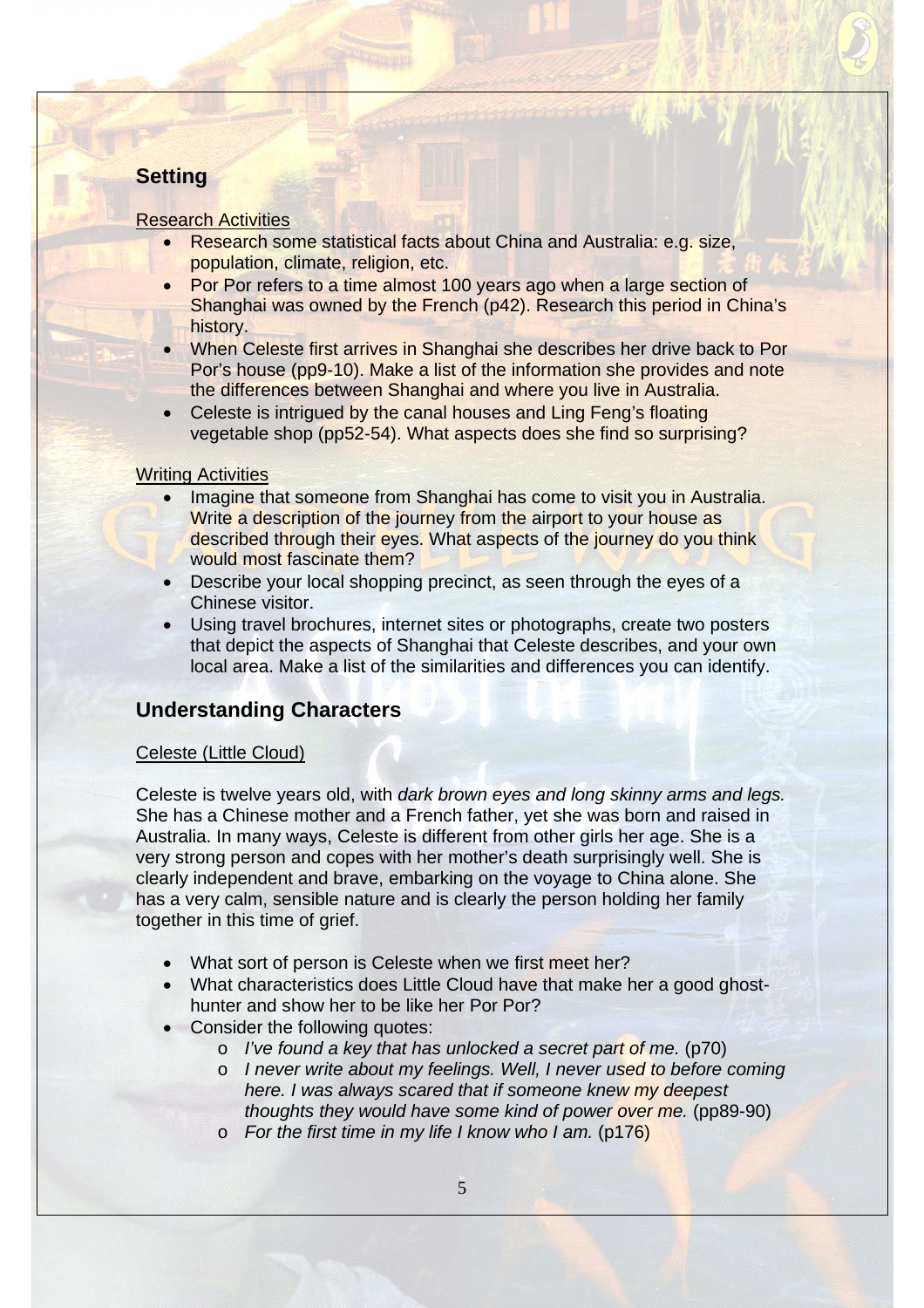# **Setting**

#### Research Activities

- Research some statistical facts about China and Australia: e.g. size, population, climate, religion, etc.
- Por Por refers to a time almost 100 years ago when a large section of Shanghai was owned by the French (p42). Research this period in China's history.
- When Celeste first arrives in Shanghai she describes her drive back to Por Por's house (pp9-10). Make a list of the information she provides and note the differences between Shanghai and where you live in Australia.
- Celeste is intrigued by the canal houses and Ling Feng's floating vegetable shop (pp52-54). What aspects does she find so surprising?

#### **Writing Activities**

- Imagine that someone from Shanghai has come to visit you in Australia. Write a description of the journey from the airport to your house as described through their eyes. What aspects of the journey do you think would most fascinate them?
- Describe your local shopping precinct, as seen through the eyes of a Chinese visitor.
- Using travel brochures, internet sites or photographs, create two posters that depict the aspects of Shanghai that Celeste describes, and your own local area. Make a list of the similarities and differences you can identify.

# **Understanding Characters**

# Celeste (Little Cloud)

Celeste is twelve years old, with *dark brown eyes and long skinny arms and legs.* She has a Chinese mother and a French father, yet she was born and raised in Australia. In many ways, Celeste is different from other girls her age. She is a very strong person and copes with her mother's death surprisingly well. She is clearly independent and brave, embarking on the voyage to China alone. She has a very calm, sensible nature and is clearly the person holding her family together in this time of grief.

- What sort of person is Celeste when we first meet her?
- What characteristics does Little Cloud have that make her a good ghosthunter and show her to be like her Por Por?
- Consider the following quotes:
	- o *I've found a key that has unlocked a secret part of me.* (p70)
	- o *I never write about my feelings. Well, I never used to before coming here. I was always scared that if someone knew my deepest thoughts they would have some kind of power over me.* (pp89-90)
	- o *For the first time in my life I know who I am.* (p176)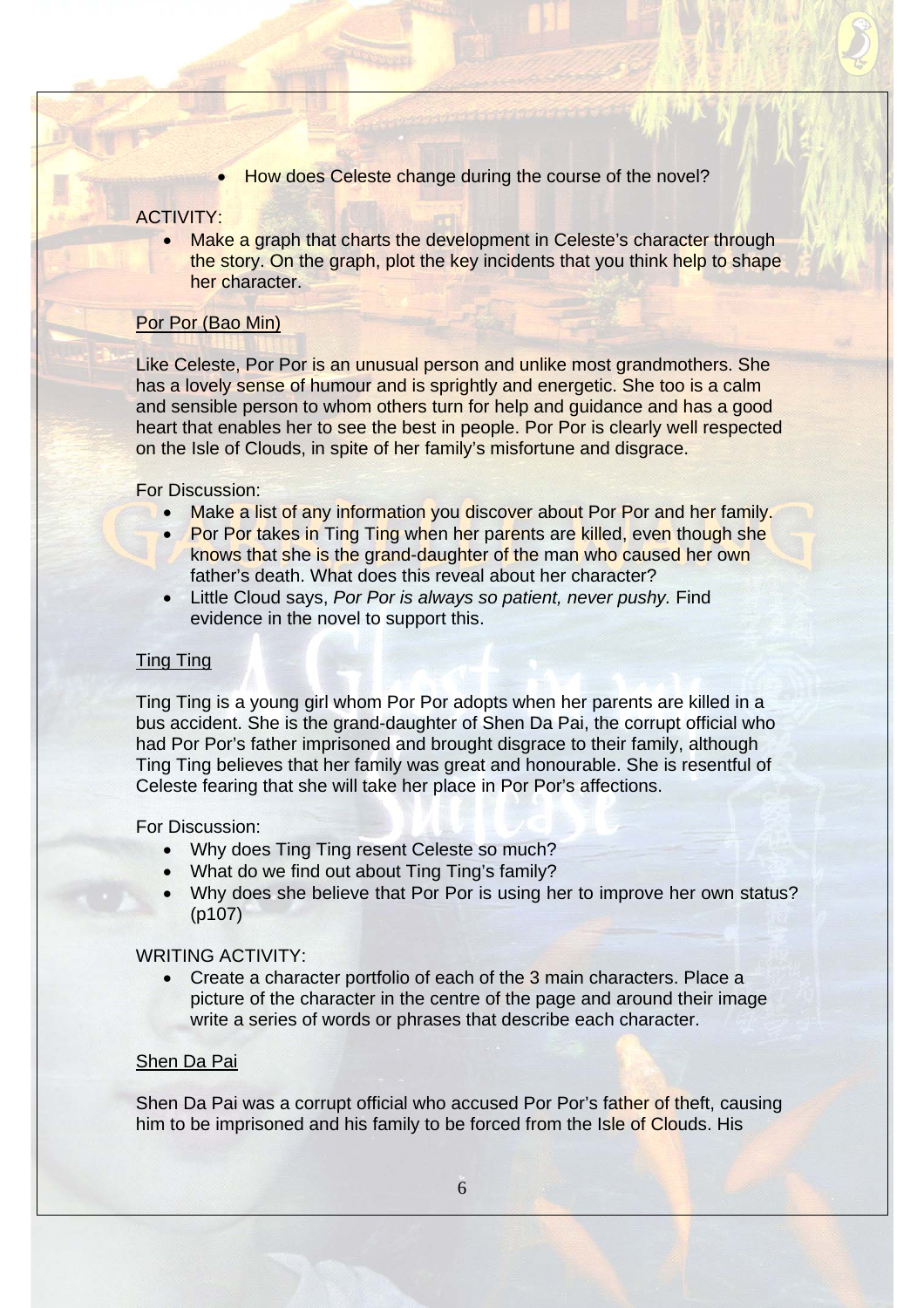• How does Celeste change during the course of the novel?

#### ACTIVITY:

• Make a graph that charts the development in Celeste's character through the story. On the graph, plot the key incidents that you think help to shape her character.

#### Por Por (Bao Min)

Like Celeste, Por Por is an unusual person and unlike most grandmothers. She has a lovely sense of humour and is sprightly and energetic. She too is a calm and sensible person to whom others turn for help and guidance and has a good heart that enables her to see the best in people. Por Por is clearly well respected on the Isle of Clouds, in spite of her family's misfortune and disgrace.

#### For Discussion:

- Make a list of any information you discover about Por Por and her family.
- Por Por takes in Ting Ting when her parents are killed, even though she knows that she is the grand-daughter of the man who caused her own father's death. What does this reveal about her character?
- Little Cloud says, *Por Por is always so patient, never pushy.* Find evidence in the novel to support this.

#### Ting Ting

Ting Ting is a young girl whom Por Por adopts when her parents are killed in a bus accident. She is the grand-daughter of Shen Da Pai, the corrupt official who had Por Por's father imprisoned and brought disgrace to their family, although Ting Ting believes that her family was great and honourable. She is resentful of Celeste fearing that she will take her place in Por Por's affections.

For Discussion:

- Why does Ting Ting resent Celeste so much?
- What do we find out about Ting Ting's family?
- Why does she believe that Por Por is using her to improve her own status? (p107)

#### WRITING ACTIVITY:

• Create a character portfolio of each of the 3 main characters. Place a picture of the character in the centre of the page and around their image write a series of words or phrases that describe each character.

# Shen Da Pai

Shen Da Pai was a corrupt official who accused Por Por's father of theft, causing him to be imprisoned and his family to be forced from the Isle of Clouds. His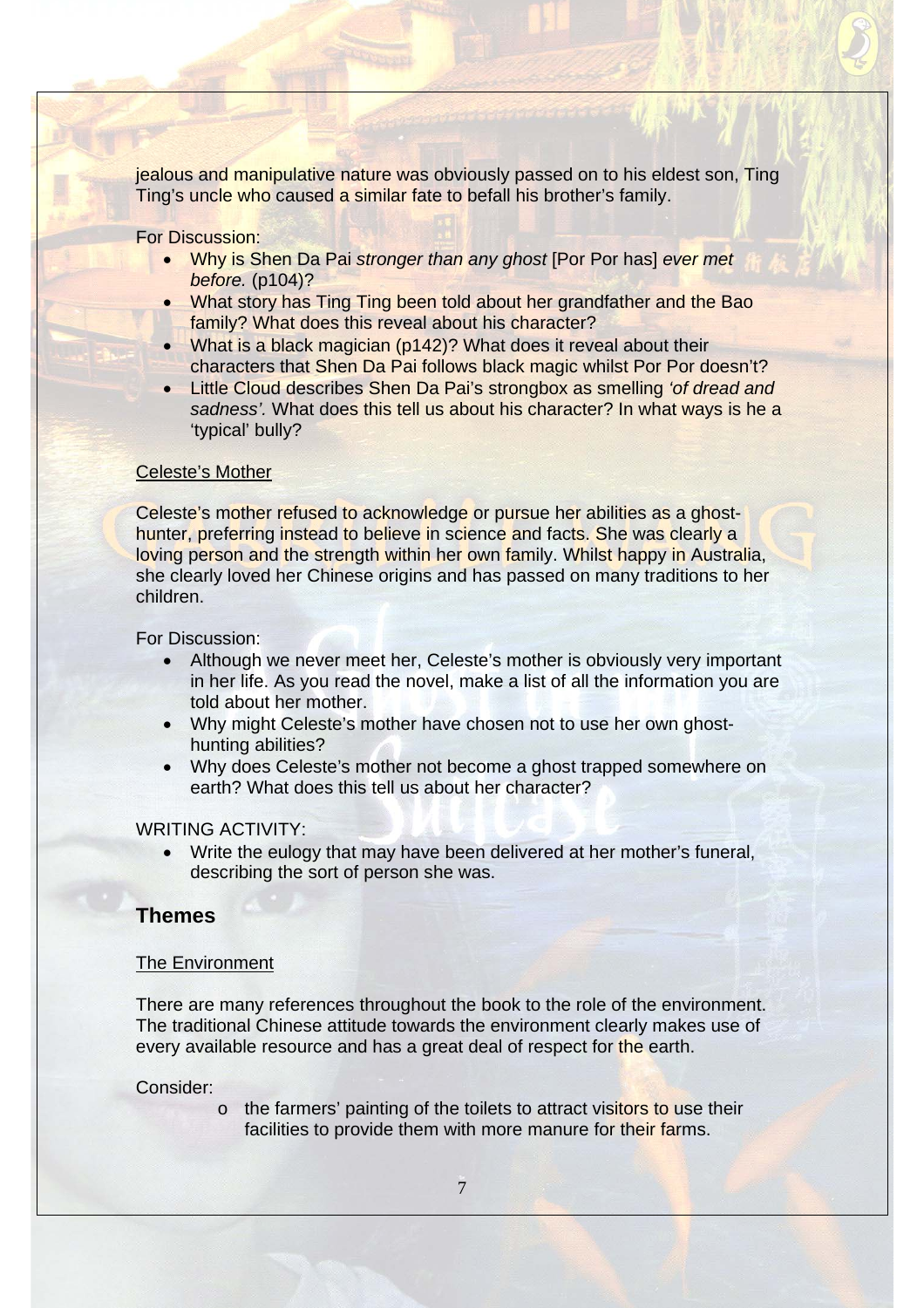jealous and manipulative nature was obviously passed on to his eldest son, Ting Ting's uncle who caused a similar fate to befall his brother's family.

For Discussion:

- Why is Shen Da Pai *stronger than any ghost* [Por Por has] *ever met before.* (p104)?
- What story has Ting Ting been told about her grandfather and the Bao family? What does this reveal about his character?
- What is a black magician (p142)? What does it reveal about their characters that Shen Da Pai follows black magic whilst Por Por doesn't?
- Little Cloud describes Shen Da Pai's strongbox as smelling *'of dread and sadness'.* What does this tell us about his character? In what ways is he a 'typical' bully?

#### Celeste's Mother

Celeste's mother refused to acknowledge or pursue her abilities as a ghosthunter, preferring instead to believe in science and facts. She was clearly a loving person and the strength within her own family. Whilst happy in Australia, she clearly loved her Chinese origins and has passed on many traditions to her children.

For Discussion:

- Although we never meet her, Celeste's mother is obviously very important in her life. As you read the novel, make a list of all the information you are told about her mother.
- Why might Celeste's mother have chosen not to use her own ghosthunting abilities?
- Why does Celeste's mother not become a ghost trapped somewhere on earth? What does this tell us about her character?

#### WRITING ACTIVITY:

• Write the eulogy that may have been delivered at her mother's funeral, describing the sort of person she was.

# **Themes**

#### The Environment

There are many references throughout the book to the role of the environment. The traditional Chinese attitude towards the environment clearly makes use of every available resource and has a great deal of respect for the earth.

Consider:

o the farmers' painting of the toilets to attract visitors to use their facilities to provide them with more manure for their farms.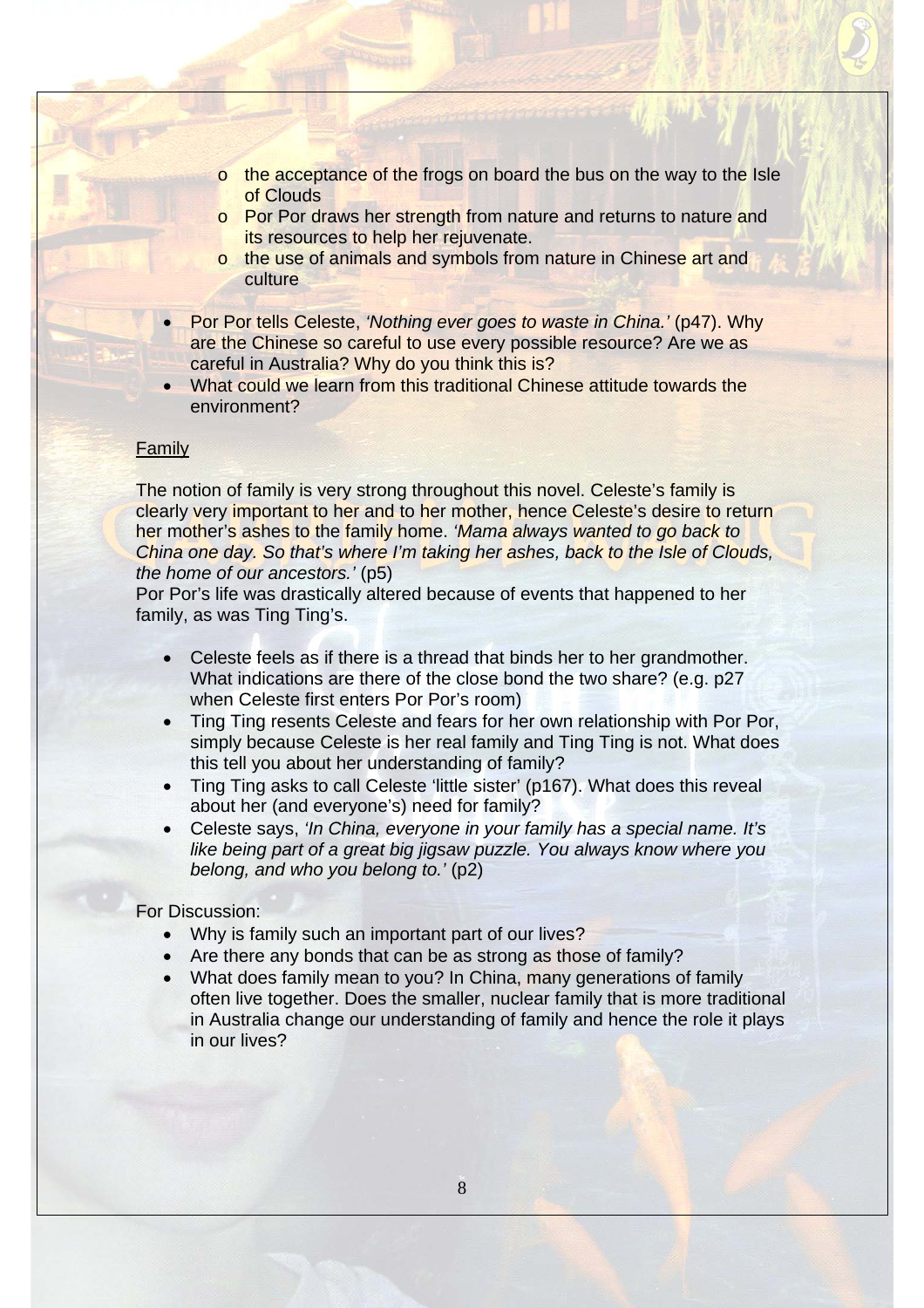- o the acceptance of the frogs on board the bus on the way to the Isle of Clouds
- o Por Por draws her strength from nature and returns to nature and its resources to help her rejuvenate.
- o the use of animals and symbols from nature in Chinese art and culture
- Por Por tells Celeste, *'Nothing ever goes to waste in China.'* (p47). Why are the Chinese so careful to use every possible resource? Are we as careful in Australia? Why do you think this is?
- What could we learn from this traditional Chinese attitude towards the environment?

#### Family

The notion of family is very strong throughout this novel. Celeste's family is clearly very important to her and to her mother, hence Celeste's desire to return her mother's ashes to the family home. *'Mama always wanted to go back to China one day. So that's where I'm taking her ashes, back to the Isle of Clouds, the home of our ancestors.'* (p5)

Por Por's life was drastically altered because of events that happened to her family, as was Ting Ting's.

- Celeste feels as if there is a thread that binds her to her grandmother. What indications are there of the close bond the two share? (e.g. p27 when Celeste first enters Por Por's room)
- Ting Ting resents Celeste and fears for her own relationship with Por Por, simply because Celeste is her real family and Ting Ting is not. What does this tell you about her understanding of family?
- Ting Ting asks to call Celeste 'little sister' (p167). What does this reveal about her (and everyone's) need for family?
- Celeste says, *'In China, everyone in your family has a special name. It's like being part of a great big jigsaw puzzle. You always know where you belong, and who you belong to.'* (p2)

#### For Discussion:

- Why is family such an important part of our lives?
- Are there any bonds that can be as strong as those of family?
- What does family mean to you? In China, many generations of family often live together. Does the smaller, nuclear family that is more traditional in Australia change our understanding of family and hence the role it plays in our lives?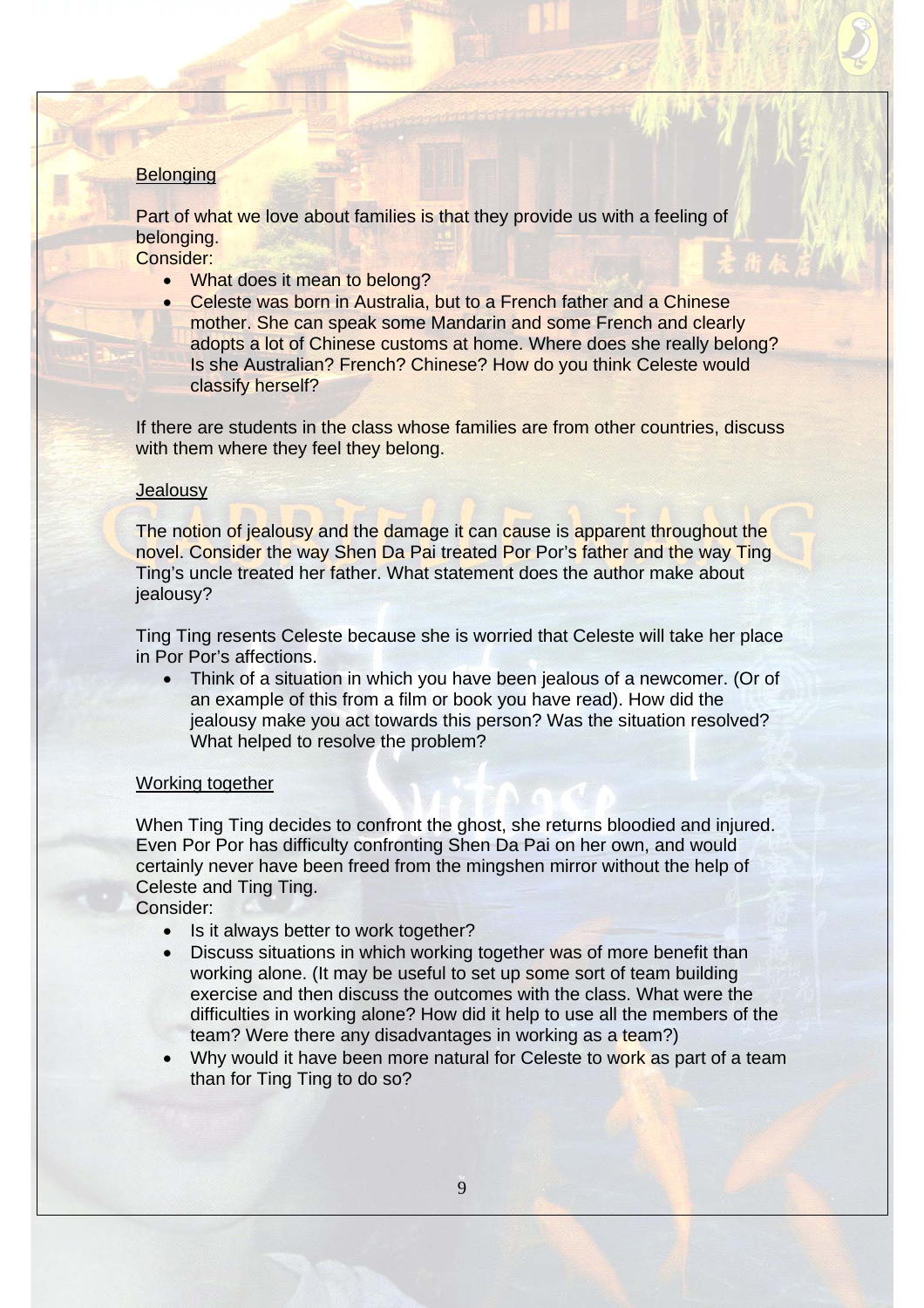#### **Belonging**

Part of what we love about families is that they provide us with a feeling of belonging.

Consider:

- What does it mean to belong?
- Celeste was born in Australia, but to a French father and a Chinese mother. She can speak some Mandarin and some French and clearly adopts a lot of Chinese customs at home. Where does she really belong? Is she Australian? French? Chinese? How do you think Celeste would classify herself?

If there are students in the class whose families are from other countries, discuss with them where they feel they belong.

#### **Jealousy**

The notion of jealousy and the damage it can cause is apparent throughout the novel. Consider the way Shen Da Pai treated Por Por's father and the way Ting Ting's uncle treated her father. What statement does the author make about jealousy?

Ting Ting resents Celeste because she is worried that Celeste will take her place in Por Por's affections.

• Think of a situation in which you have been jealous of a newcomer. (Or of an example of this from a film or book you have read). How did the jealousy make you act towards this person? Was the situation resolved? What helped to resolve the problem?

#### Working together

When Ting Ting decides to confront the ghost, she returns bloodied and injured. Even Por Por has difficulty confronting Shen Da Pai on her own, and would certainly never have been freed from the mingshen mirror without the help of Celeste and Ting Ting.

Consider:

- Is it always better to work together?
- Discuss situations in which working together was of more benefit than working alone. (It may be useful to set up some sort of team building exercise and then discuss the outcomes with the class. What were the difficulties in working alone? How did it help to use all the members of the team? Were there any disadvantages in working as a team?)
- Why would it have been more natural for Celeste to work as part of a team than for Ting Ting to do so?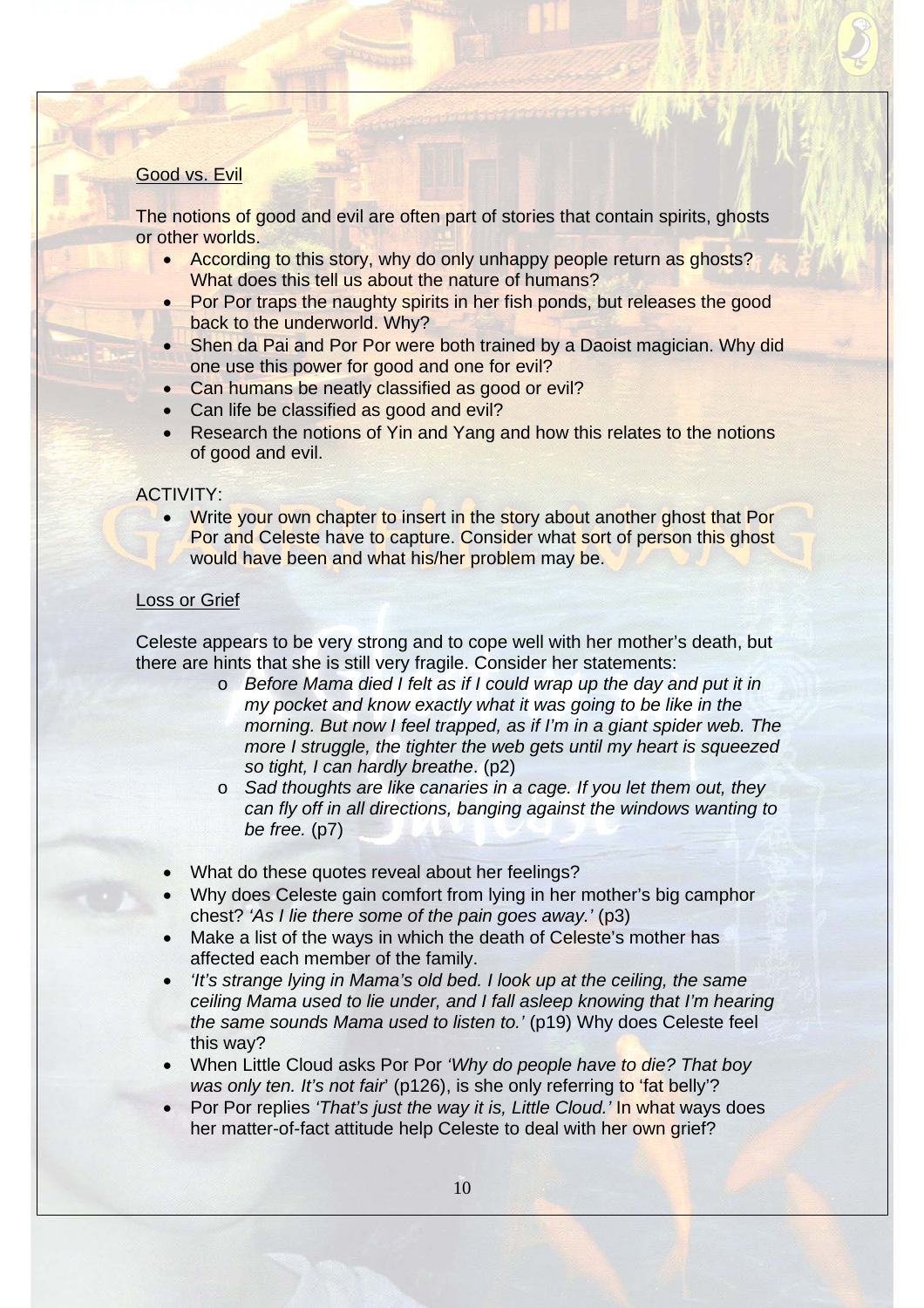#### Good vs. Evil

The notions of good and evil are often part of stories that contain spirits, ghosts or other worlds.

- According to this story, why do only unhappy people return as ghosts? What does this tell us about the nature of humans?
- Por Por traps the naughty spirits in her fish ponds, but releases the good back to the underworld. Why?
- Shen da Pai and Por Por were both trained by a Daoist magician. Why did one use this power for good and one for evil?
- Can humans be neatly classified as good or evil?
- Can life be classified as good and evil?
- Research the notions of Yin and Yang and how this relates to the notions of good and evil.

#### ACTIVITY:

• Write your own chapter to insert in the story about another ghost that Por Por and Celeste have to capture. Consider what sort of person this ghost would have been and what his/her problem may be.

#### Loss or Grief

Celeste appears to be very strong and to cope well with her mother's death, but there are hints that she is still very fragile. Consider her statements:

- o *Before Mama died I felt as if I could wrap up the day and put it in my pocket and know exactly what it was going to be like in the morning. But now I feel trapped, as if I'm in a giant spider web. The more I struggle, the tighter the web gets until my heart is squeezed so tight, I can hardly breathe*. (p2)
- o *Sad thoughts are like canaries in a cage. If you let them out, they can fly off in all directions, banging against the windows wanting to be free.* (p7)
- What do these quotes reveal about her feelings?
- Why does Celeste gain comfort from lying in her mother's big camphor chest? *'As I lie there some of the pain goes away.'* (p3)
- Make a list of the ways in which the death of Celeste's mother has affected each member of the family.
- *'It's strange lying in Mama's old bed. I look up at the ceiling, the same ceiling Mama used to lie under, and I fall asleep knowing that I'm hearing the same sounds Mama used to listen to.'* (p19) Why does Celeste feel this way?
- When Little Cloud asks Por Por *'Why do people have to die? That boy was only ten. It's not fair*' (p126), is she only referring to 'fat belly'?
- Por Por replies *'That's just the way it is, Little Cloud.'* In what ways does her matter-of-fact attitude help Celeste to deal with her own grief?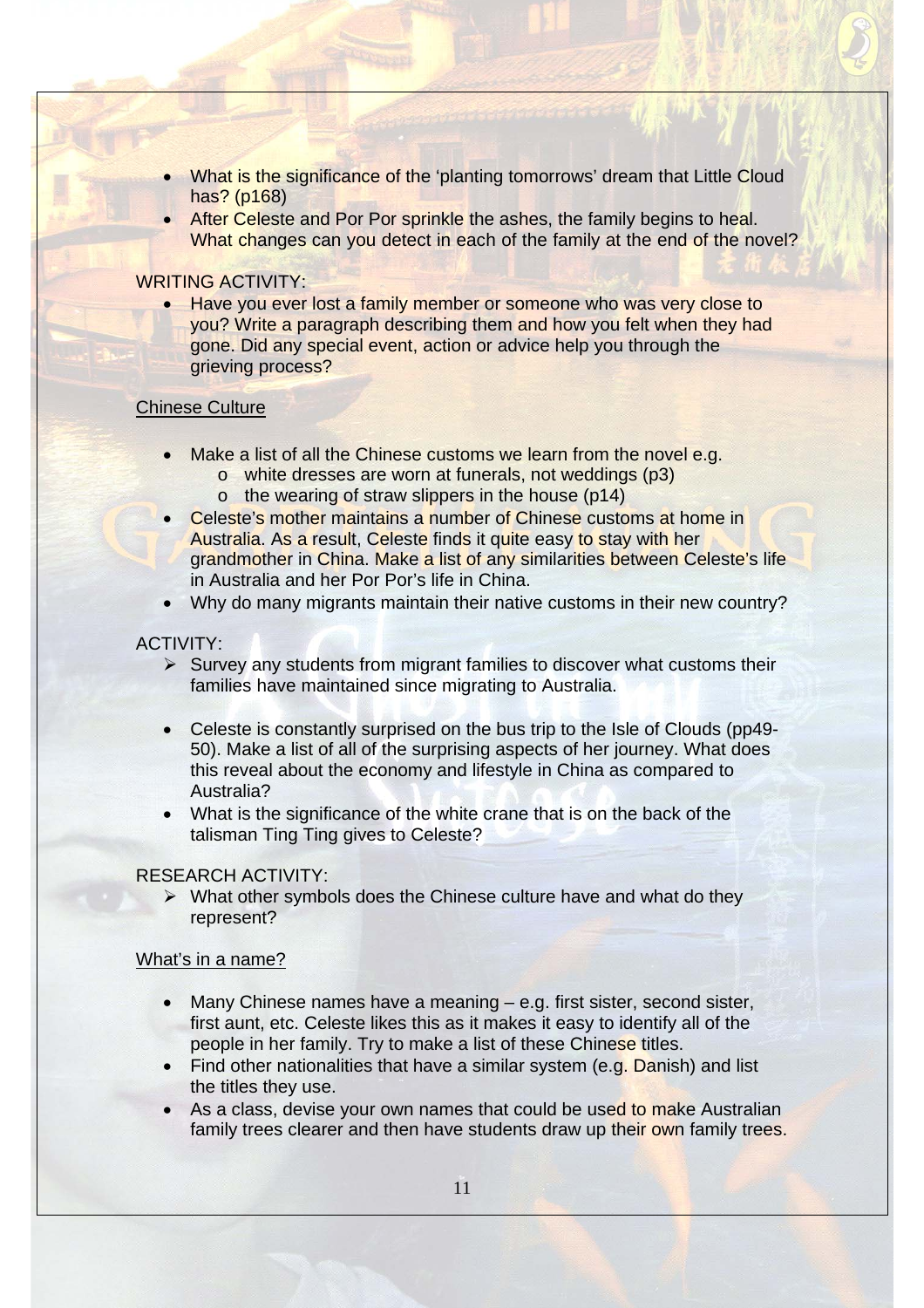- What is the significance of the 'planting tomorrows' dream that Little Cloud has? (p168)
- After Celeste and Por Por sprinkle the ashes, the family begins to heal. What changes can you detect in each of the family at the end of the novel?

#### WRITING ACTIVITY:

• Have you ever lost a family member or someone who was very close to you? Write a paragraph describing them and how you felt when they had gone. Did any special event, action or advice help you through the grieving process?

#### Chinese Culture

- Make a list of all the Chinese customs we learn from the novel e.g.
	- o white dresses are worn at funerals, not weddings (p3) o the wearing of straw slippers in the house (p14)
- **Celeste's mother maintains a number of Chinese customs at home in** Australia. As a result, Celeste finds it quite easy to stay with her grandmother in China. Make a list of any similarities between Celeste's life in Australia and her Por Por's life in China.
- Why do many migrants maintain their native customs in their new country?

#### ACTIVITY:

- $\triangleright$  Survey any students from migrant families to discover what customs their families have maintained since migrating to Australia.
- Celeste is constantly surprised on the bus trip to the Isle of Clouds (pp49- 50). Make a list of all of the surprising aspects of her journey. What does this reveal about the economy and lifestyle in China as compared to Australia?
- What is the significance of the white crane that is on the back of the talisman Ting Ting gives to Celeste?

#### RESEARCH ACTIVITY:

 $\triangleright$  What other symbols does the Chinese culture have and what do they represent?

#### What's in a name?

- Many Chinese names have a meaning e.g. first sister, second sister, first aunt, etc. Celeste likes this as it makes it easy to identify all of the people in her family. Try to make a list of these Chinese titles.
- Find other nationalities that have a similar system (e.g. Danish) and list the titles they use.
- As a class, devise your own names that could be used to make Australian family trees clearer and then have students draw up their own family trees.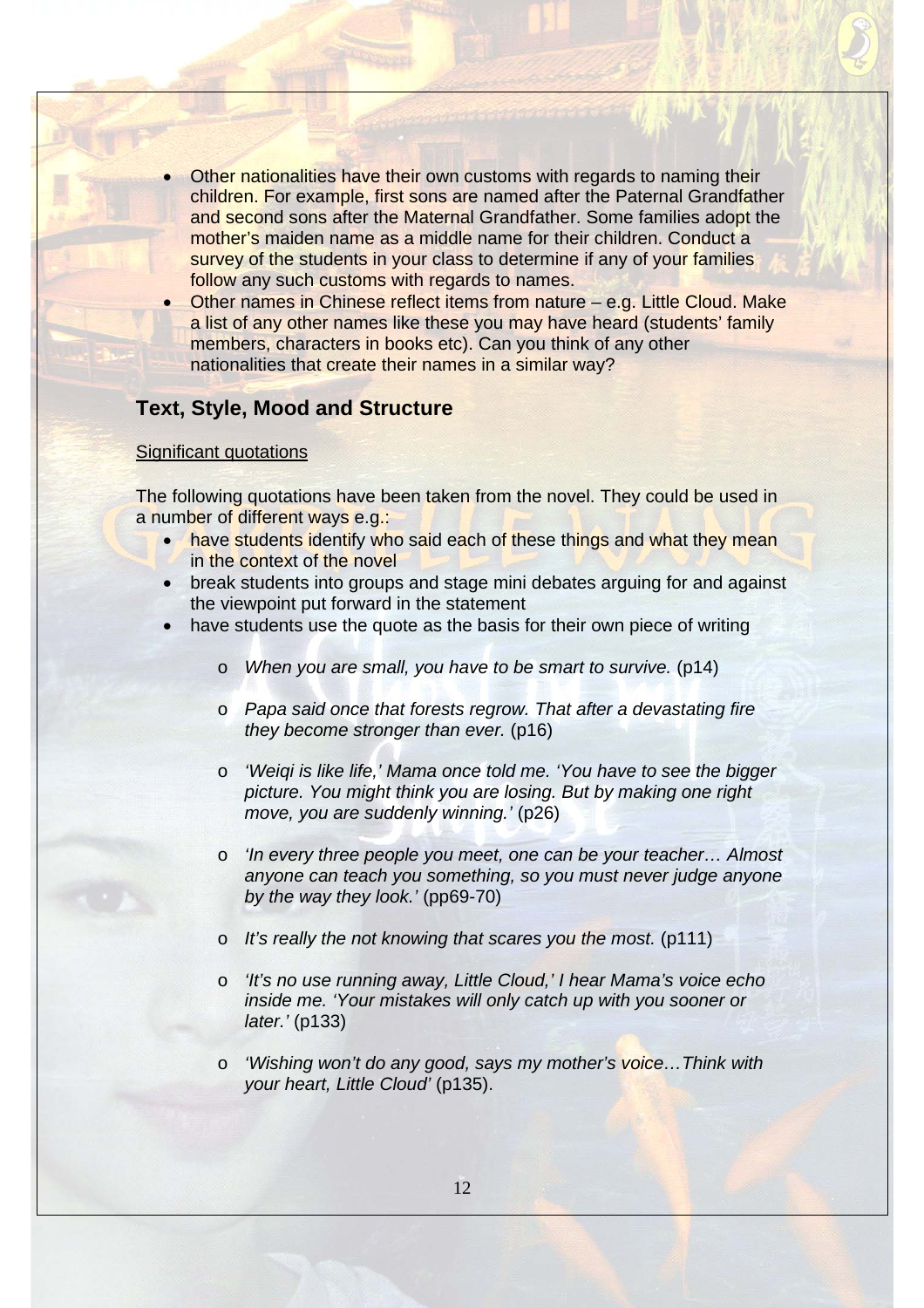- Other nationalities have their own customs with regards to naming their children. For example, first sons are named after the Paternal Grandfather and second sons after the Maternal Grandfather. Some families adopt the mother's maiden name as a middle name for their children. Conduct a survey of the students in your class to determine if any of your families follow any such customs with regards to names.
- Other names in Chinese reflect items from nature e.g. Little Cloud. Make a list of any other names like these you may have heard (students' family members, characters in books etc). Can you think of any other nationalities that create their names in a similar way?

# **Text, Style, Mood and Structure**

#### Significant quotations

The following quotations have been taken from the novel. They could be used in a number of different ways e.g.:

- have students identify who said each of these things and what they mean in the context of the novel
- break students into groups and stage mini debates arguing for and against the viewpoint put forward in the statement
- have students use the quote as the basis for their own piece of writing
	- o *When you are small, you have to be smart to survive.* (p14)
	- o *Papa said once that forests regrow. That after a devastating fire they become stronger than ever.* (p16)
	- o *'Weiqi is like life,' Mama once told me. 'You have to see the bigger picture. You might think you are losing. But by making one right move, you are suddenly winning.'* (p26)
	- o *'In every three people you meet, one can be your teacher… Almost anyone can teach you something, so you must never judge anyone by the way they look.'* (pp69-70)
	- o *It's really the not knowing that scares you the most.* (p111)
	- o *'It's no use running away, Little Cloud,' I hear Mama's voice echo inside me. 'Your mistakes will only catch up with you sooner or later.'* (p133)
	- o *'Wishing won't do any good, says my mother's voice…Think with your heart, Little Cloud'* (p135).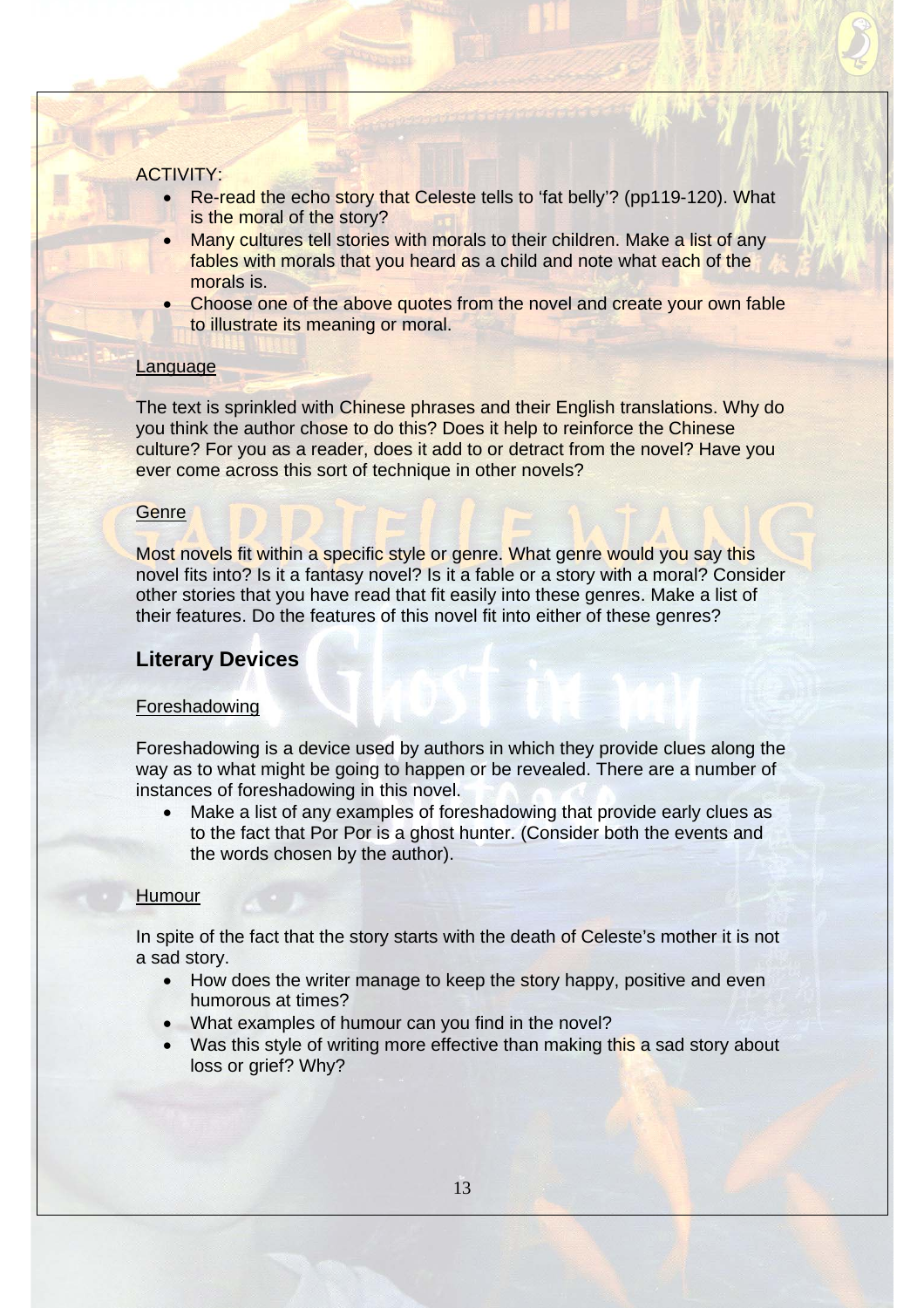#### ACTIVITY:

- Re-read the echo story that Celeste tells to 'fat belly'? (pp119-120). What is the moral of the story?
- Many cultures tell stories with morals to their children. Make a list of any fables with morals that you heard as a child and note what each of the morals is.
- Choose one of the above quotes from the novel and create your own fable to illustrate its meaning or moral.

#### **Language**

The text is sprinkled with Chinese phrases and their English translations. Why do you think the author chose to do this? Does it help to reinforce the Chinese culture? For you as a reader, does it add to or detract from the novel? Have you ever come across this sort of technique in other novels?

#### **Genre**

Most novels fit within a specific style or genre. What genre would you say this novel fits into? Is it a fantasy novel? Is it a fable or a story with a moral? Consider other stories that you have read that fit easily into these genres. Make a list of their features. Do the features of this novel fit into either of these genres?

# **Literary Devices**

#### Foreshadowing

Foreshadowing is a device used by authors in which they provide clues along the way as to what might be going to happen or be revealed. There are a number of instances of foreshadowing in this novel.

• Make a list of any examples of foreshadowing that provide early clues as to the fact that Por Por is a ghost hunter. (Consider both the events and the words chosen by the author).

#### **Humour**

In spite of the fact that the story starts with the death of Celeste's mother it is not a sad story.

- How does the writer manage to keep the story happy, positive and even humorous at times?
- What examples of humour can you find in the novel?
- Was this style of writing more effective than making this a sad story about loss or grief? Why?